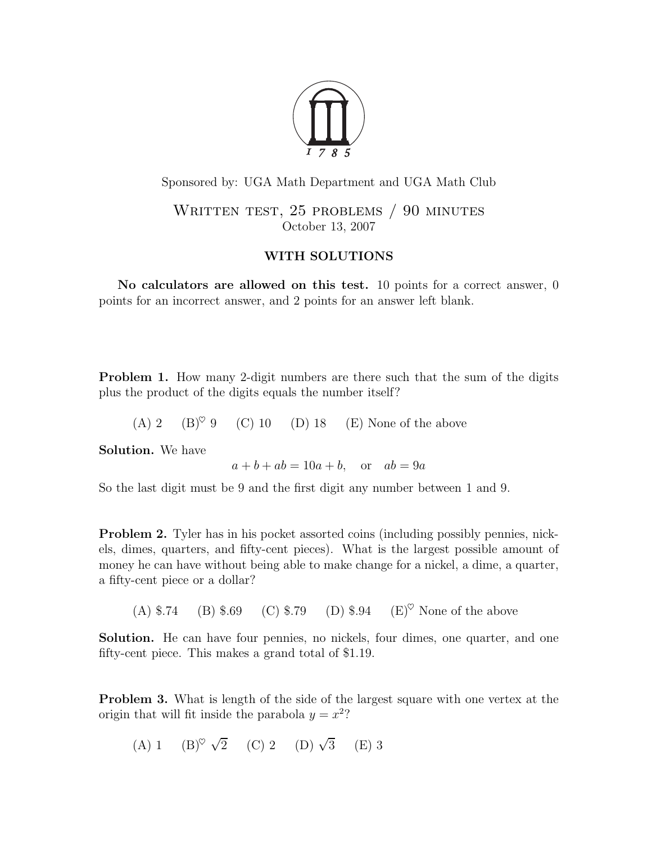

Sponsored by: UGA Math Department and UGA Math Club

WRITTEN TEST, 25 PROBLEMS / 90 MINUTES October 13, 2007

## WITH SOLUTIONS

No calculators are allowed on this test. 10 points for a correct answer, 0 points for an incorrect answer, and 2 points for an answer left blank.

Problem 1. How many 2-digit numbers are there such that the sum of the digits plus the product of the digits equals the number itself?

(A) 2 (B)<sup> $\heartsuit$ </sup> 9 (C) 10 (D) 18 (E) None of the above

Solution. We have

 $a + b + ab = 10a + b$ , or  $ab = 9a$ 

So the last digit must be 9 and the first digit any number between 1 and 9.

Problem 2. Tyler has in his pocket assorted coins (including possibly pennies, nickels, dimes, quarters, and fifty-cent pieces). What is the largest possible amount of money he can have without being able to make change for a nickel, a dime, a quarter, a fifty-cent piece or a dollar?

(A)  $\$$ .74 (B)  $\$$ .69 (C)  $\$$ .79 (D)  $\$$ .94 (E)<sup> $\heartsuit$ </sup> None of the above

Solution. He can have four pennies, no nickels, four dimes, one quarter, and one fifty-cent piece. This makes a grand total of \$1.19.

Problem 3. What is length of the side of the largest square with one vertex at the origin that will fit inside the parabola  $y = x^2$ ?

(A) 1 (B)  $\sqrt{2}$  (C) 2 (D)  $\sqrt{3}$  (E) 3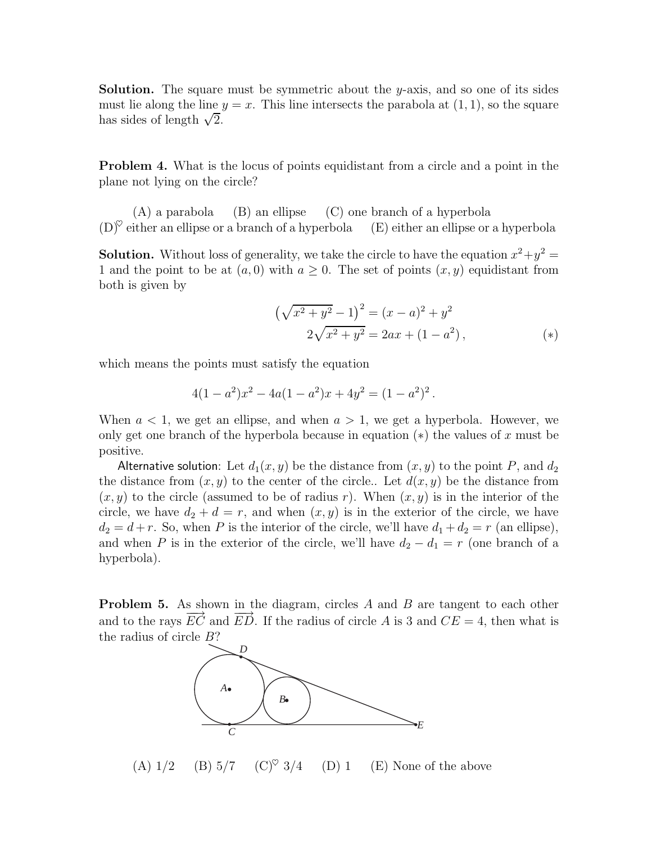**Solution.** The square must be symmetric about the y-axis, and so one of its sides must lie along the line  $y = x$ . This line intersects the parabola at  $(1, 1)$ , so the square has sides of length  $\sqrt{2}$ .

Problem 4. What is the locus of points equidistant from a circle and a point in the plane not lying on the circle?

(A) a parabola (B) an ellipse (C) one branch of a hyperbola  $(D)^\heartsuit$  either an ellipse or a branch of a hyperbola  $(E)$  either an ellipse or a hyperbola

**Solution.** Without loss of generality, we take the circle to have the equation  $x^2 + y^2 =$ 1 and the point to be at  $(a, 0)$  with  $a \geq 0$ . The set of points  $(x, y)$  equidistant from both is given by

$$
\left(\sqrt{x^2 + y^2} - 1\right)^2 = (x - a)^2 + y^2
$$
  
2\sqrt{x^2 + y^2} = 2ax + (1 - a^2), \qquad (\*)

which means the points must satisfy the equation

$$
4(1-a^2)x^2 - 4a(1-a^2)x + 4y^2 = (1-a^2)^2.
$$

When  $a < 1$ , we get an ellipse, and when  $a > 1$ , we get a hyperbola. However, we only get one branch of the hyperbola because in equation  $(*)$  the values of x must be positive.

Alternative solution: Let  $d_1(x, y)$  be the distance from  $(x, y)$  to the point P, and  $d_2$ the distance from  $(x, y)$  to the center of the circle.. Let  $d(x, y)$  be the distance from  $(x, y)$  to the circle (assumed to be of radius r). When  $(x, y)$  is in the interior of the circle, we have  $d_2 + d = r$ , and when  $(x, y)$  is in the exterior of the circle, we have  $d_2 = d + r$ . So, when P is the interior of the circle, we'll have  $d_1 + d_2 = r$  (an ellipse), and when P is in the exterior of the circle, we'll have  $d_2 - d_1 = r$  (one branch of a hyperbola).

**Problem 5.** As shown in the diagram, circles A and B are tangent to each other and to the rays  $\overrightarrow{EC}$  and  $\overrightarrow{ED}$ . If the radius of circle A is 3 and  $CE = 4$ , then what is the radius of circle B?



(A)  $1/2$  (B)  $5/7$  (C)<sup> $\heartsuit$ </sup> 3/4 (D) 1 (E) None of the above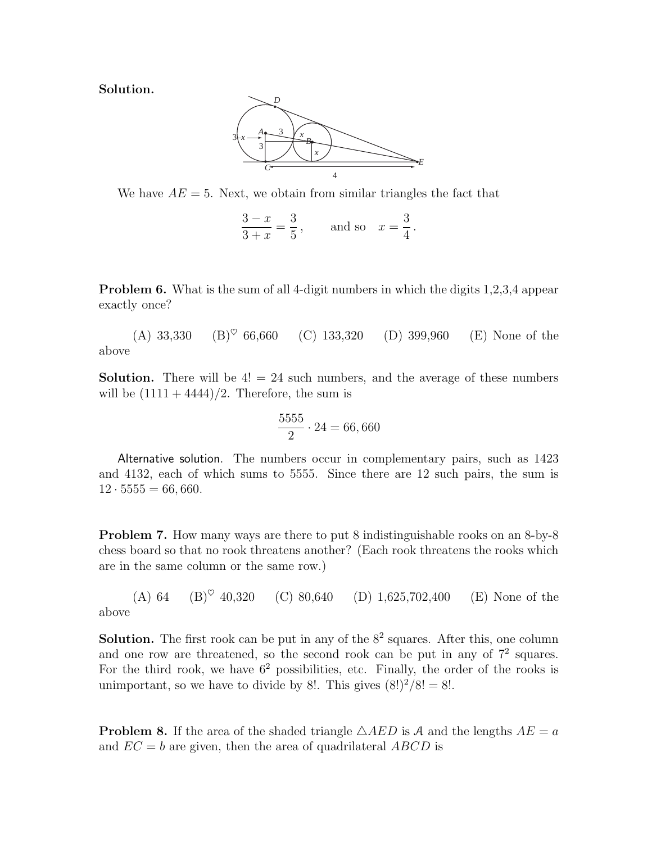Solution.



We have  $AE = 5$ . Next, we obtain from similar triangles the fact that

 $\frac{3-x}{2}$  $3 + x$ = 3 5  $, \qquad \text{and so} \quad x =$ 3 4 .

Problem 6. What is the sum of all 4-digit numbers in which the digits 1,2,3,4 appear exactly once?

(A) 33,330 (B)<sup> $\heartsuit$ </sup> 66,660 (C) 133,320 (D) 399,960 (E) None of the above

**Solution.** There will be  $4! = 24$  such numbers, and the average of these numbers will be  $(1111 + 4444)/2$ . Therefore, the sum is

$$
\frac{5555}{2} \cdot 24 = 66,660
$$

Alternative solution. The numbers occur in complementary pairs, such as 1423 and 4132, each of which sums to 5555. Since there are 12 such pairs, the sum is  $12 \cdot 5555 = 66,660.$ 

Problem 7. How many ways are there to put 8 indistinguishable rooks on an 8-by-8 chess board so that no rook threatens another? (Each rook threatens the rooks which are in the same column or the same row.)

(A) 64 (B)<sup> $\heartsuit$ </sup> 40,320 (C) 80,640 (D) 1,625,702,400 (E) None of the above

**Solution.** The first rook can be put in any of the  $8<sup>2</sup>$  squares. After this, one column and one row are threatened, so the second rook can be put in any of  $7<sup>2</sup>$  squares. For the third rook, we have  $6^2$  possibilities, etc. Finally, the order of the rooks is unimportant, so we have to divide by 8!. This gives  $(8!)^2/8! = 8!$ .

**Problem 8.** If the area of the shaded triangle  $\triangle AED$  is A and the lengths  $AE = a$ and  $EC = b$  are given, then the area of quadrilateral ABCD is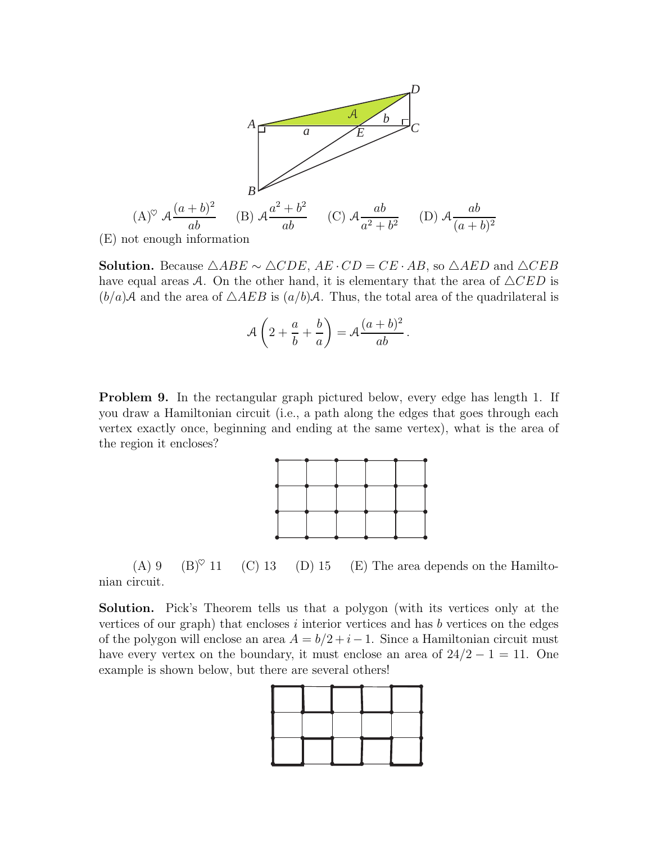

(E) not enough information

Solution. Because  $\triangle ABE \sim \triangle CDE$ ,  $AE \cdot CD = CE \cdot AB$ , so  $\triangle AED$  and  $\triangle CEB$ have equal areas A. On the other hand, it is elementary that the area of  $\triangle CED$  is  $(b/a)$ A and the area of  $\triangle AEB$  is  $(a/b)$ A. Thus, the total area of the quadrilateral is

$$
\mathcal{A}\left(2+\frac{a}{b}+\frac{b}{a}\right)=\mathcal{A}\frac{(a+b)^2}{ab}.
$$

Problem 9. In the rectangular graph pictured below, every edge has length 1. If you draw a Hamiltonian circuit (i.e., a path along the edges that goes through each vertex exactly once, beginning and ending at the same vertex), what is the area of the region it encloses?



(A) 9 (B) $\degree$  11 (C) 13 (D) 15 (E) The area depends on the Hamiltonian circuit.

Solution. Pick's Theorem tells us that a polygon (with its vertices only at the vertices of our graph) that encloses  $i$  interior vertices and has  $b$  vertices on the edges of the polygon will enclose an area  $A = b/2 + i - 1$ . Since a Hamiltonian circuit must have every vertex on the boundary, it must enclose an area of  $24/2 - 1 = 11$ . One example is shown below, but there are several others!

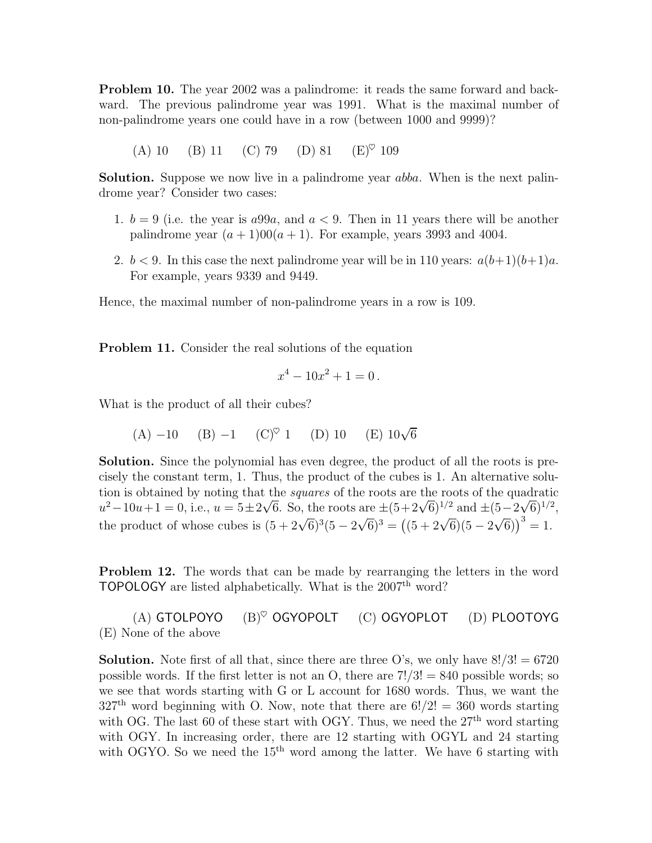Problem 10. The year 2002 was a palindrome: it reads the same forward and backward. The previous palindrome year was 1991. What is the maximal number of non-palindrome years one could have in a row (between 1000 and 9999)?

(A) 10 (B) 11 (C) 79 (D) 81 (E)<sup> $\heartsuit$ </sup> 109

**Solution.** Suppose we now live in a palindrome year *abba*. When is the next palindrome year? Consider two cases:

- 1.  $b = 9$  (i.e. the year is  $a99a$ , and  $a < 9$ . Then in 11 years there will be another palindrome year  $(a + 1)00(a + 1)$ . For example, years 3993 and 4004.
- 2.  $b < 9$ . In this case the next palindrome year will be in 110 years:  $a(b+1)(b+1)a$ . For example, years 9339 and 9449.

Hence, the maximal number of non-palindrome years in a row is 109.

Problem 11. Consider the real solutions of the equation

$$
x^4 - 10x^2 + 1 = 0
$$

What is the product of all their cubes?

(A) -10 (B) -1 (C)<sup>°</sup> 1 (D) 10 (E) 
$$
10\sqrt{6}
$$

Solution. Since the polynomial has even degree, the product of all the roots is precisely the constant term, 1. Thus, the product of the cubes is 1. An alternative solution is obtained by noting that the squares of the roots are the roots of the quadratic  $u^2-10u+1=0$ , i.e.,  $u=5\pm 2\sqrt{6}$ . So, the roots are  $\pm (5+2\sqrt{6})^{1/2}$  and  $\pm (5-2\sqrt{6})^{1/2}$ , the product of whose cubes is  $(5 + 2\sqrt{6})^3(5 - 2\sqrt{6})^3 = ((5 + 2\sqrt{6})(5 - 2\sqrt{6}))^3 = 1$ .

Problem 12. The words that can be made by rearranging the letters in the word TOPOLOGY are listed alphabetically. What is the 2007<sup>th</sup> word?

(A) GTOLPOYO  $(B)^{\heartsuit}$  OGYOPOLT  $(C)$  OGYOPLOT  $(D)$  PLOOTOYG (E) None of the above

**Solution.** Note first of all that, since there are three O's, we only have  $8!/3! = 6720$ possible words. If the first letter is not an O, there are  $7!/3! = 840$  possible words; so we see that words starting with G or L account for 1680 words. Thus, we want the  $327<sup>th</sup>$  word beginning with O. Now, note that there are  $6!/2! = 360$  words starting with OG. The last 60 of these start with OGY. Thus, we need the  $27<sup>th</sup>$  word starting with OGY. In increasing order, there are 12 starting with OGYL and 24 starting with OGYO. So we need the  $15<sup>th</sup>$  word among the latter. We have 6 starting with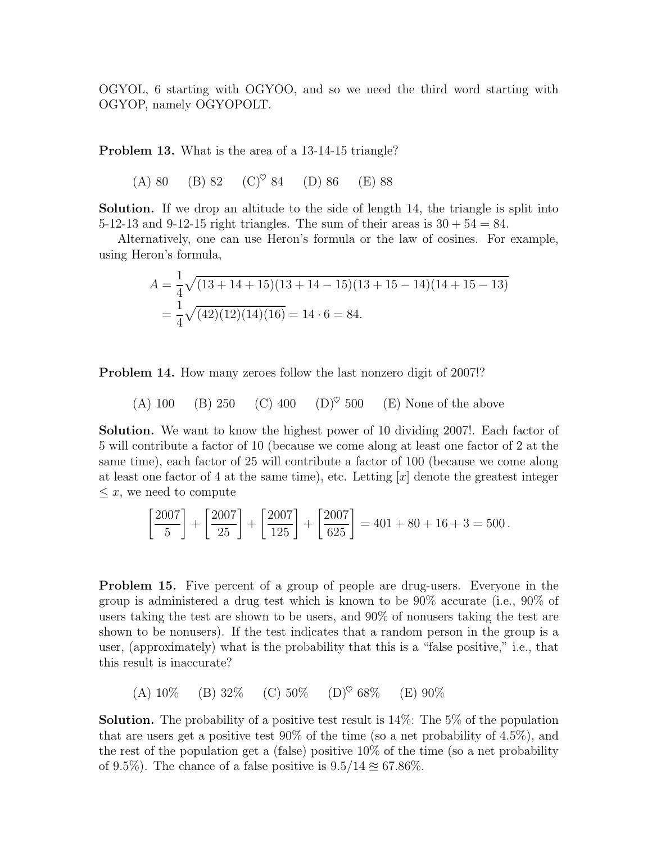OGYOL, 6 starting with OGYOO, and so we need the third word starting with OGYOP, namely OGYOPOLT.

Problem 13. What is the area of a 13-14-15 triangle?

(A) 80 (B) 82 (C)<sup> $\heartsuit$ </sup> 84 (D) 86 (E) 88

Solution. If we drop an altitude to the side of length 14, the triangle is split into 5-12-13 and 9-12-15 right triangles. The sum of their areas is  $30 + 54 = 84$ .

Alternatively, one can use Heron's formula or the law of cosines. For example, using Heron's formula,

$$
A = \frac{1}{4}\sqrt{(13 + 14 + 15)(13 + 14 - 15)(13 + 15 - 14)(14 + 15 - 13)}
$$
  
=  $\frac{1}{4}\sqrt{(42)(12)(14)(16)} = 14 \cdot 6 = 84.$ 

Problem 14. How many zeroes follow the last nonzero digit of 2007!?

(A) 100 (B) 250 (C) 400 (D)♥ 500 (E) None of the above

Solution. We want to know the highest power of 10 dividing 2007!. Each factor of 5 will contribute a factor of 10 (because we come along at least one factor of 2 at the same time), each factor of 25 will contribute a factor of 100 (because we come along at least one factor of 4 at the same time), etc. Letting  $[x]$  denote the greatest integer  $\leq x$ , we need to compute

$$
\left[\frac{2007}{5}\right] + \left[\frac{2007}{25}\right] + \left[\frac{2007}{125}\right] + \left[\frac{2007}{625}\right] = 401 + 80 + 16 + 3 = 500.
$$

Problem 15. Five percent of a group of people are drug-users. Everyone in the group is administered a drug test which is known to be 90% accurate (i.e., 90% of users taking the test are shown to be users, and 90% of nonusers taking the test are shown to be nonusers). If the test indicates that a random person in the group is a user, (approximately) what is the probability that this is a "false positive," i.e., that this result is inaccurate?

(A)  $10\%$  (B)  $32\%$  (C)  $50\%$  (D)<sup> $\heartsuit$ </sup> 68\% (E)  $90\%$ 

**Solution.** The probability of a positive test result is  $14\%$ : The 5% of the population that are users get a positive test  $90\%$  of the time (so a net probability of 4.5%), and the rest of the population get a (false) positive  $10\%$  of the time (so a net probability of 9.5%). The chance of a false positive is  $9.5/14 \approx 67.86\%$ .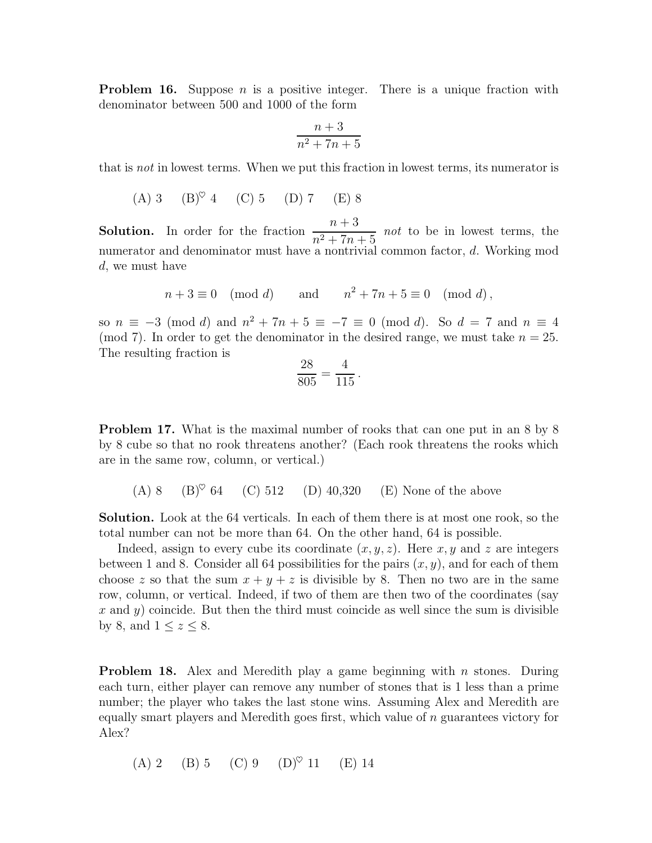**Problem 16.** Suppose *n* is a positive integer. There is a unique fraction with denominator between 500 and 1000 of the form

$$
\frac{n+3}{n^2+7n+5}
$$

that is *not* in lowest terms. When we put this fraction in lowest terms, its numerator is

(A) 3 (B)♥ 4 (C) 5 (D) 7 (E) 8

**Solution.** In order for the fraction  $\frac{n+3}{2+5}$  $\frac{n+5}{n^2+7n+5}$  *not* to be in lowest terms, the numerator and denominator must have a nontrivial common factor, d. Working mod d, we must have

$$
n+3 \equiv 0 \pmod{d} \qquad \text{and} \qquad n^2+7n+5 \equiv 0 \pmod{d},
$$

so  $n \equiv -3 \pmod{d}$  and  $n^2 + 7n + 5 \equiv -7 \equiv 0 \pmod{d}$ . So  $d = 7$  and  $n \equiv 4$ (mod 7). In order to get the denominator in the desired range, we must take  $n = 25$ . The resulting fraction is

$$
\frac{28}{805} = \frac{4}{115} \, .
$$

Problem 17. What is the maximal number of rooks that can one put in an 8 by 8 by 8 cube so that no rook threatens another? (Each rook threatens the rooks which are in the same row, column, or vertical.)

(A) 8 (B)<sup> $\heartsuit$ </sup> 64 (C) 512 (D) 40,320 (E) None of the above

Solution. Look at the 64 verticals. In each of them there is at most one rook, so the total number can not be more than 64. On the other hand, 64 is possible.

Indeed, assign to every cube its coordinate  $(x, y, z)$ . Here x, y and z are integers between 1 and 8. Consider all 64 possibilities for the pairs  $(x, y)$ , and for each of them choose z so that the sum  $x + y + z$  is divisible by 8. Then no two are in the same row, column, or vertical. Indeed, if two of them are then two of the coordinates (say x and y) coincide. But then the third must coincide as well since the sum is divisible by 8, and  $1 \leq z \leq 8$ .

**Problem 18.** Alex and Meredith play a game beginning with n stones. During each turn, either player can remove any number of stones that is 1 less than a prime number; the player who takes the last stone wins. Assuming Alex and Meredith are equally smart players and Meredith goes first, which value of  $n$  guarantees victory for Alex?

(A) 2 (B) 5 (C) 9 (D)♥ 11 (E) 14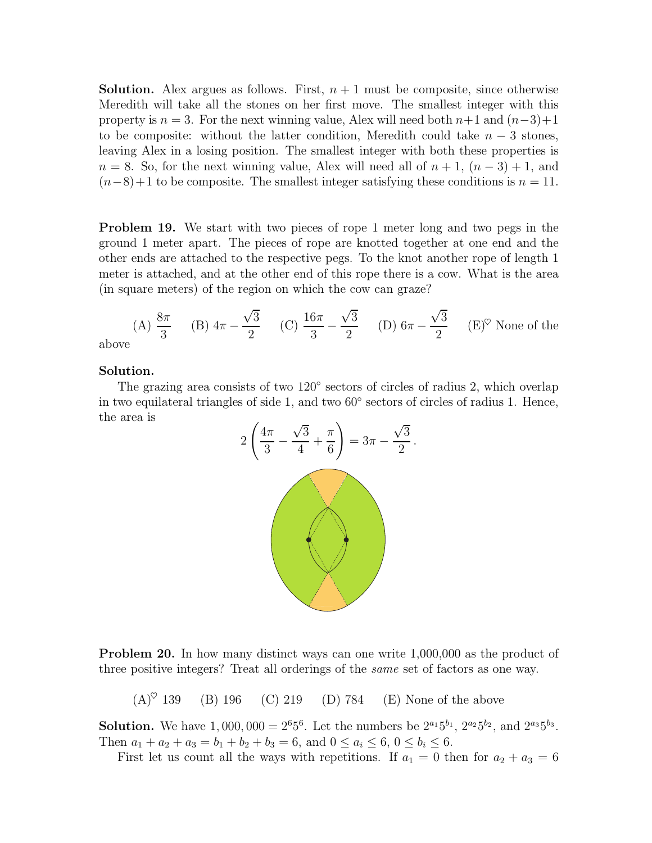**Solution.** Alex argues as follows. First,  $n + 1$  must be composite, since otherwise Meredith will take all the stones on her first move. The smallest integer with this property is  $n = 3$ . For the next winning value, Alex will need both  $n+1$  and  $(n-3)+1$ to be composite: without the latter condition, Meredith could take  $n-3$  stones, leaving Alex in a losing position. The smallest integer with both these properties is  $n = 8$ . So, for the next winning value, Alex will need all of  $n + 1$ ,  $(n - 3) + 1$ , and  $(n-8)+1$  to be composite. The smallest integer satisfying these conditions is  $n = 11$ .

Problem 19. We start with two pieces of rope 1 meter long and two pegs in the ground 1 meter apart. The pieces of rope are knotted together at one end and the other ends are attached to the respective pegs. To the knot another rope of length 1 meter is attached, and at the other end of this rope there is a cow. What is the area (in square meters) of the region on which the cow can graze?

(A) 
$$
\frac{8\pi}{3}
$$
 (B)  $4\pi - \frac{\sqrt{3}}{2}$  (C)  $\frac{16\pi}{3} - \frac{\sqrt{3}}{2}$  (D)  $6\pi - \frac{\sqrt{3}}{2}$  (E)<sup>°</sup> None of the

abov

## Solution.

The grazing area consists of two 120° sectors of circles of radius 2, which overlap in two equilateral triangles of side 1, and two 60◦ sectors of circles of radius 1. Hence, the area is



Problem 20. In how many distinct ways can one write 1,000,000 as the product of three positive integers? Treat all orderings of the same set of factors as one way.

 $(A)^\heartsuit$  139 (B) 196 (C) 219 (D) 784 (E) None of the above

**Solution.** We have  $1,000,000 = 2^6 5^6$ . Let the numbers be  $2^{a_1} 5^{b_1}$ ,  $2^{a_2} 5^{b_2}$ , and  $2^{a_3} 5^{b_3}$ . Then  $a_1 + a_2 + a_3 = b_1 + b_2 + b_3 = 6$ , and  $0 \le a_i \le 6$ ,  $0 \le b_i \le 6$ .

First let us count all the ways with repetitions. If  $a_1 = 0$  then for  $a_2 + a_3 = 6$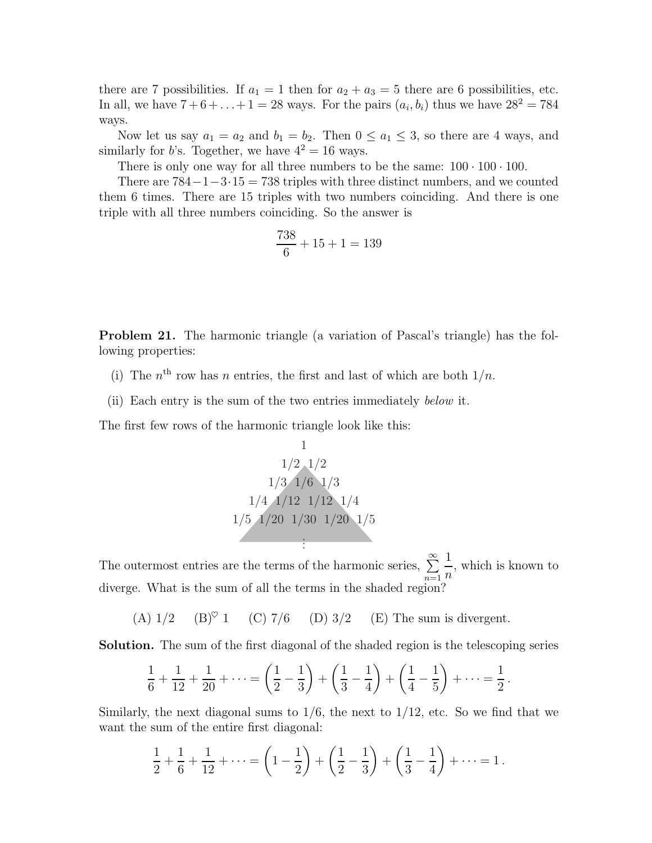there are 7 possibilities. If  $a_1 = 1$  then for  $a_2 + a_3 = 5$  there are 6 possibilities, etc. In all, we have  $7 + 6 + ... + 1 = 28$  ways. For the pairs  $(a_i, b_i)$  thus we have  $28^2 = 784$ ways.

Now let us say  $a_1 = a_2$  and  $b_1 = b_2$ . Then  $0 \le a_1 \le 3$ , so there are 4 ways, and similarly for b's. Together, we have  $4^2 = 16$  ways.

There is only one way for all three numbers to be the same:  $100 \cdot 100 \cdot 100$ .

There are  $784-1-3.15=738$  triples with three distinct numbers, and we counted them 6 times. There are 15 triples with two numbers coinciding. And there is one triple with all three numbers coinciding. So the answer is

$$
\frac{738}{6} + 15 + 1 = 139
$$

Problem 21. The harmonic triangle (a variation of Pascal's triangle) has the following properties:

- (i) The  $n<sup>th</sup>$  row has n entries, the first and last of which are both  $1/n$ .
- (ii) Each entry is the sum of the two entries immediately below it.

The first few rows of the harmonic triangle look like this:

$$
\begin{array}{r}\n1 \\
1/2 \quad 1/2 \\
1/3 \quad 1/6 \quad 1/3 \\
1/4 \quad 1/12 \quad 1/12 \quad 1/4 \\
1/5 \quad 1/20 \quad 1/30 \quad 1/20 \quad 1/5 \\
\vdots\n\end{array}
$$

The outermost entries are the terms of the harmonic series,  $\sum_{n=1}^{\infty}$  $n=1$ 1 n , which is known to diverge. What is the sum of all the terms in the shaded region?

(A)  $1/2$  (B)<sup> $\heartsuit$ </sup> 1 (C) 7/6 (D) 3/2 (E) The sum is divergent.

Solution. The sum of the first diagonal of the shaded region is the telescoping series

$$
\frac{1}{6} + \frac{1}{12} + \frac{1}{20} + \dots = \left(\frac{1}{2} - \frac{1}{3}\right) + \left(\frac{1}{3} - \frac{1}{4}\right) + \left(\frac{1}{4} - \frac{1}{5}\right) + \dots = \frac{1}{2}.
$$

Similarly, the next diagonal sums to  $1/6$ , the next to  $1/12$ , etc. So we find that we want the sum of the entire first diagonal:

$$
\frac{1}{2} + \frac{1}{6} + \frac{1}{12} + \dots = \left(1 - \frac{1}{2}\right) + \left(\frac{1}{2} - \frac{1}{3}\right) + \left(\frac{1}{3} - \frac{1}{4}\right) + \dots = 1.
$$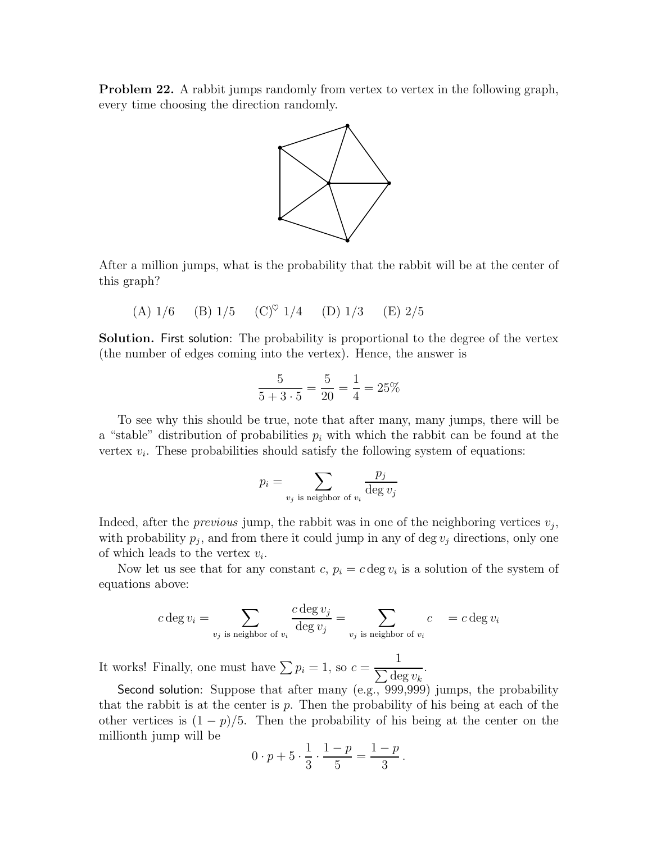Problem 22. A rabbit jumps randomly from vertex to vertex in the following graph, every time choosing the direction randomly.



After a million jumps, what is the probability that the rabbit will be at the center of this graph?

(A) 
$$
1/6
$$
 (B)  $1/5$  (C)<sup>°</sup>  $1/4$  (D)  $1/3$  (E)  $2/5$ 

Solution. First solution: The probability is proportional to the degree of the vertex (the number of edges coming into the vertex). Hence, the answer is

$$
\frac{5}{5+3\cdot 5} = \frac{5}{20} = \frac{1}{4} = 25\%
$$

To see why this should be true, note that after many, many jumps, there will be a "stable" distribution of probabilities  $p_i$  with which the rabbit can be found at the vertex  $v_i$ . These probabilities should satisfy the following system of equations:

$$
p_i = \sum_{v_j \text{ is neighbor of } v_i} \frac{p_j}{\deg v_j}
$$

Indeed, after the *previous* jump, the rabbit was in one of the neighboring vertices  $v_j$ , with probability  $p_j$ , and from there it could jump in any of deg  $v_j$  directions, only one of which leads to the vertex  $v_i$ .

Now let us see that for any constant  $c, p_i = c \deg v_i$  is a solution of the system of equations above:

$$
c \deg v_i = \sum_{v_j \text{ is neighbor of } v_i} \frac{c \deg v_j}{\deg v_j} = \sum_{v_j \text{ is neighbor of } v_i} c \quad = c \deg v_i
$$

It works! Finally, one must have  $\sum p_i = 1$ , so  $c = \frac{1}{\sum d_i}$  $\frac{1}{\sum \deg v_k}$ .

Second solution: Suppose that after many (e.g., 999,999) jumps, the probability that the rabbit is at the center is  $p$ . Then the probability of his being at each of the other vertices is  $(1 - p)/5$ . Then the probability of his being at the center on the millionth jump will be

$$
0 \cdot p + 5 \cdot \frac{1}{3} \cdot \frac{1-p}{5} = \frac{1-p}{3}.
$$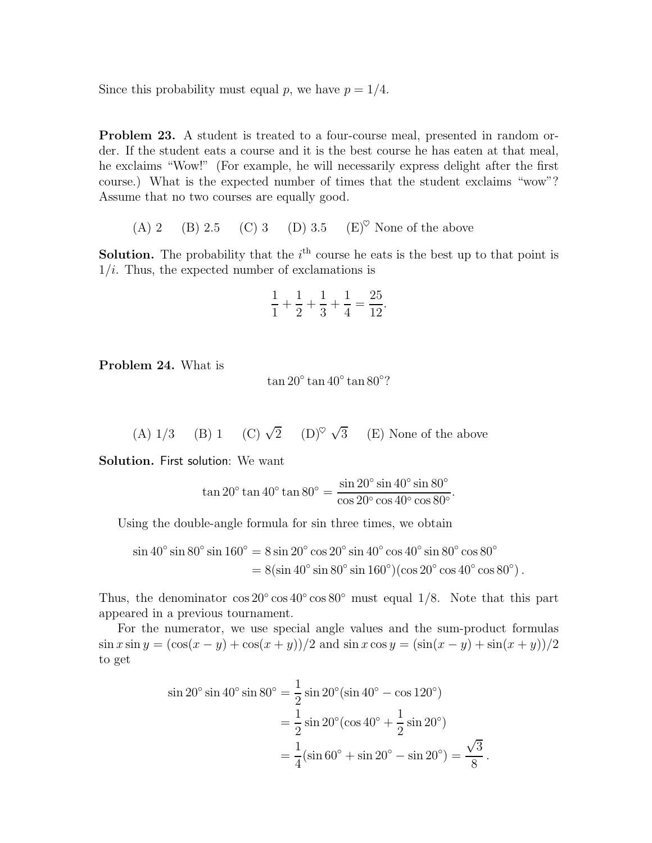Since this probability must equal p, we have  $p = 1/4$ .

Problem 23. A student is treated to a four-course meal, presented in random order. If the student eats a course and it is the best course he has eaten at that meal, he exclaims "Wow!" (For example, he will necessarily express delight after the first course.) What is the expected number of times that the student exclaims "wow"? Assume that no two courses are equally good.

(A) 2 (B) 2.5 (C) 3 (D) 3.5 (E)<sup> $\heartsuit$ </sup> None of the above

**Solution.** The probability that the  $i<sup>th</sup>$  course he eats is the best up to that point is  $1/i$ . Thus, the expected number of exclamations is

$$
\frac{1}{1} + \frac{1}{2} + \frac{1}{3} + \frac{1}{4} = \frac{25}{12}.
$$

Problem 24. What is

 $\tan 20^{\circ} \tan 40^{\circ} \tan 80^{\circ}$ ?

 $(A) 1/3$  (B) 1  $\overline{2}$  (D)<sup> $\heartsuit$ </sup>  $\checkmark$ 3 (E) None of the above

Solution. First solution: We want

$$
\tan 20^{\circ} \tan 40^{\circ} \tan 80^{\circ} = \frac{\sin 20^{\circ} \sin 40^{\circ} \sin 80^{\circ}}{\cos 20^{\circ} \cos 40^{\circ} \cos 80^{\circ}}.
$$

Using the double-angle formula for sin three times, we obtain

$$
\sin 40^\circ \sin 80^\circ \sin 160^\circ = 8 \sin 20^\circ \cos 20^\circ \sin 40^\circ \cos 40^\circ \sin 80^\circ \cos 80^\circ
$$
  
= 8( $\sin 40^\circ \sin 80^\circ \sin 160^\circ$ )( $\cos 20^\circ \cos 40^\circ \cos 80^\circ$ ).

Thus, the denominator  $\cos 20^\circ \cos 40^\circ \cos 80^\circ$  must equal 1/8. Note that this part appeared in a previous tournament.

For the numerator, we use special angle values and the sum-product formulas  $\sin x \sin y = (\cos(x - y) + \cos(x + y))/2$  and  $\sin x \cos y = (\sin(x - y) + \sin(x + y))/2$ to get

$$
\sin 20^\circ \sin 40^\circ \sin 80^\circ = \frac{1}{2} \sin 20^\circ (\sin 40^\circ - \cos 120^\circ)
$$
  
=  $\frac{1}{2} \sin 20^\circ (\cos 40^\circ + \frac{1}{2} \sin 20^\circ)$   
=  $\frac{1}{4} (\sin 60^\circ + \sin 20^\circ - \sin 20^\circ) = \frac{\sqrt{3}}{8}$ 

.